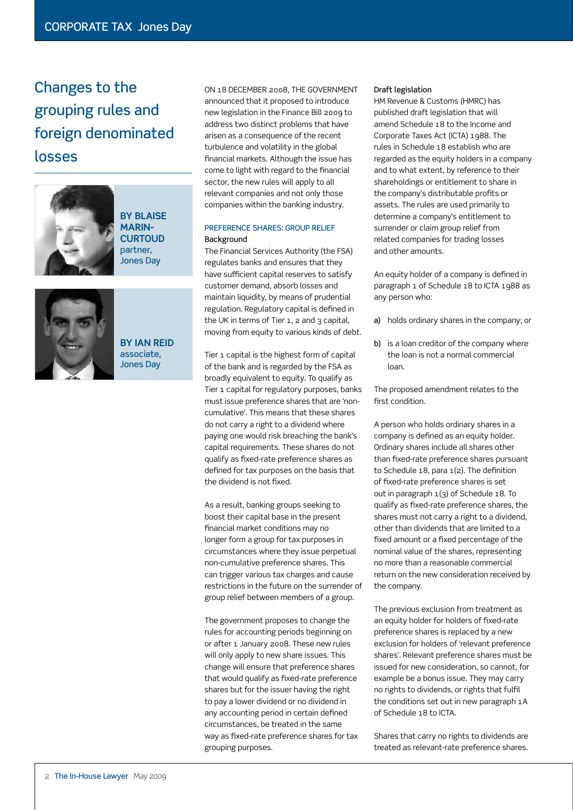# Changes to the grouping rules and foreign denominated losses



**BY Blaise Marin-Curtoud** partner, .<br>Jones Dav



**BY Ian Reid** associate, Jones Day

On 18 December 2008, the government announced that it proposed to introduce new legislation in the Finance Bill 2009 to address two distinct problems that have arisen as a consequence of the recent turbulence and volatility in the global financial markets. Although the issue has come to light with regard to the financial sector, the new rules will apply to all relevant companies and not only those companies within the banking industry.

# Preference shares: group relief Background

The Financial Services Authority (the FSA) regulates banks and ensures that they have sufficient capital reserves to satisfy customer demand, absorb losses and maintain liquidity, by means of prudential regulation. Regulatory capital is defined in the UK in terms of Tier 1, 2 and 3 capital, moving from equity to various kinds of debt.

Tier 1 capital is the highest form of capital of the bank and is regarded by the FSA as broadly equivalent to equity. To qualify as Tier 1 capital for regulatory purposes, banks must issue preference shares that are 'noncumulative'. This means that these shares do not carry a right to a dividend where paying one would risk breaching the bank's capital requirements. These shares do not qualify as fixed-rate preference shares as defined for tax purposes on the basis that the dividend is not fixed.

As a result, banking groups seeking to boost their capital base in the present financial market conditions may no longer form a group for tax purposes in circumstances where they issue perpetual non-cumulative preference shares. This can trigger various tax charges and cause restrictions in the future on the surrender of group relief between members of a group.

The government proposes to change the rules for accounting periods beginning on or after 1 January 2008. These new rules will only apply to new share issues. This change will ensure that preference shares that would qualify as fixed-rate preference shares but for the issuer having the right to pay a lower dividend or no dividend in any accounting period in certain defined circumstances, be treated in the same way as fixed-rate preference shares for tax grouping purposes.

#### Draft legislation

HM Revenue & Customs (HMRC) has published draft legislation that will amend Schedule 18 to the Income and Corporate Taxes Act (ICTA) 1988. The rules in Schedule 18 establish who are regarded as the equity holders in a company and to what extent, by reference to their shareholdings or entitlement to share in the company's distributable profits or assets. The rules are used primarily to determine a company's entitlement to surrender or claim group relief from related companies for trading losses and other amounts.

An equity holder of a company is defined in paragraph 1 of Schedule 18 to ICTA 1988 as any person who:

- a) holds ordinary shares in the company; or
- b) is a loan creditor of the company where the loan is not a normal commercial loan.

The proposed amendment relates to the first condition.

A person who holds ordinary shares in a company is defined as an equity holder. Ordinary shares include all shares other than fixed-rate preference shares pursuant to Schedule 18, para 1(2). The definition of fixed-rate preference shares is set out in paragraph 1(3) of Schedule 18. To qualify as fixed-rate preference shares, the shares must not carry a right to a dividend, other than dividends that are limited to a fixed amount or a fixed percentage of the nominal value of the shares, representing no more than a reasonable commercial return on the new consideration received by the company.

The previous exclusion from treatment as an equity holder for holders of fixed-rate preference shares is replaced by a new exclusion for holders of 'relevant preference shares'. Relevant preference shares must be issued for new consideration, so cannot, for example be a bonus issue. They may carry no rights to dividends, or rights that fulfil the conditions set out in new paragraph 1A of Schedule 18 to ICTA.

Shares that carry no rights to dividends are treated as relevant-rate preference shares.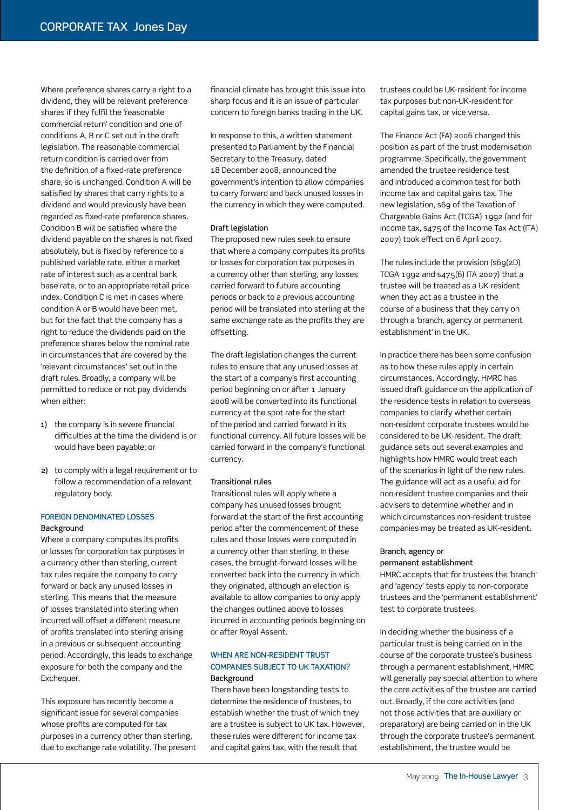Where preference shares carry a right to a dividend, they will be relevant preference shares if they fulfil the 'reasonable commercial return' condition and one of conditions A, B or C set out in the draft legislation. The reasonable commercial return condition is carried over from the definition of a fixed-rate preference share, so is unchanged. Condition A will be satisfied by shares that carry rights to a dividend and would previously have been regarded as fixed-rate preference shares. Condition B will be satisfied where the dividend payable on the shares is not fixed absolutely, but is fixed by reference to a published variable rate, either a market rate of interest such as a central bank base rate, or to an appropriate retail price index. Condition C is met in cases where condition A or B would have been met, but for the fact that the company has a right to reduce the dividends paid on the preference shares below the nominal rate in circumstances that are covered by the 'relevant circumstances' set out in the draft rules. Broadly, a company will be permitted to reduce or not pay dividends when either:

- 1) the company is in severe financial difficulties at the time the dividend is or would have been payable; or
- 2) to comply with a legal requirement or to follow a recommendation of a relevant regulatory body.

## Foreign denominated losses Background

Where a company computes its profits or losses for corporation tax purposes in a currency other than sterling, current tax rules require the company to carry forward or back any unused losses in sterling. This means that the measure of losses translated into sterling when incurred will offset a different measure of profits translated into sterling arising in a previous or subsequent accounting period. Accordingly, this leads to exchange exposure for both the company and the Exchequer.

This exposure has recently become a significant issue for several companies whose profits are computed for tax purposes in a currency other than sterling, due to exchange rate volatility. The present financial climate has brought this issue into sharp focus and it is an issue of particular concern to foreign banks trading in the UK.

In response to this, a written statement presented to Parliament by the Financial Secretary to the Treasury, dated 18 December 2008, announced the government's intention to allow companies to carry forward and back unused losses in the currency in which they were computed.

## Draft legislation

The proposed new rules seek to ensure that where a company computes its profits or losses for corporation tax purposes in a currency other than sterling, any losses carried forward to future accounting periods or back to a previous accounting period will be translated into sterling at the same exchange rate as the profits they are offsetting.

The draft legislation changes the current rules to ensure that any unused losses at the start of a company's first accounting period beginning on or after 1 January 2008 will be converted into its functional currency at the spot rate for the start of the period and carried forward in its functional currency. All future losses will be carried forward in the company's functional currency.

## Transitional rules

Transitional rules will apply where a company has unused losses brought forward at the start of the first accounting period after the commencement of these rules and those losses were computed in a currency other than sterling. In these cases, the brought-forward losses will be converted back into the currency in which they originated, although an election is available to allow companies to only apply the changes outlined above to losses incurred in accounting periods beginning on or after Royal Assent.

# WHEN ARE NON-RESIDENT TRUST companies subject to UK taxation? Background

There have been longstanding tests to determine the residence of trustees, to establish whether the trust of which they are a trustee is subject to UK tax. However, these rules were different for income tax and capital gains tax, with the result that

trustees could be UK-resident for income tax purposes but non-UK-resident for capital gains tax, or vice versa.

The Finance Act (FA) 2006 changed this position as part of the trust modernisation programme. Specifically, the government amended the trustee residence test and introduced a common test for both income tax and capital gains tax. The new legislation, s69 of the Taxation of Chargeable Gains Act (TCGA) 1992 (and for income tax, s475 of the Income Tax Act (ITA) 2007) took effect on 6 April 2007.

The rules include the provision (s69(2D) TCGA 1992 and s475(6) ITA 2007) that a trustee will be treated as a UK resident when they act as a trustee in the course of a business that they carry on through a 'branch, agency or permanent establishment' in the UK.

In practice there has been some confusion as to how these rules apply in certain circumstances. Accordingly, HMRC has issued draft guidance on the application of the residence tests in relation to overseas companies to clarify whether certain non-resident corporate trustees would be considered to be UK-resident. The draft guidance sets out several examples and highlights how HMRC would treat each of the scenarios in light of the new rules. The guidance will act as a useful aid for non-resident trustee companies and their advisers to determine whether and in which circumstances non-resident trustee companies may be treated as UK-resident.

# Branch, agency or permanent establishment

HMRC accepts that for trustees the 'branch' and 'agency' tests apply to non-corporate trustees and the 'permanent establishment' test to corporate trustees.

In deciding whether the business of a particular trust is being carried on in the course of the corporate trustee's business through a permanent establishment, HMRC will generally pay special attention to where the core activities of the trustee are carried out. Broadly, if the core activities (and not those activities that are auxiliary or preparatory) are being carried on in the UK through the corporate trustee's permanent establishment, the trustee would be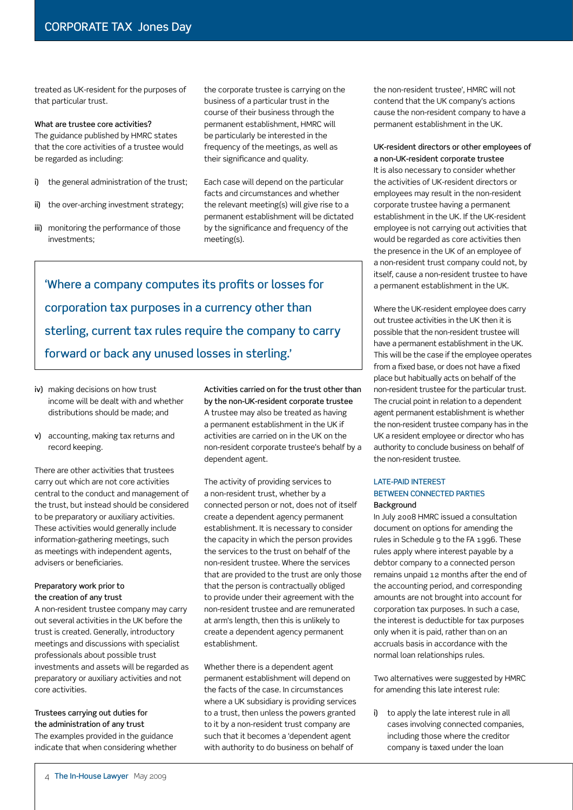treated as UK-resident for the purposes of that particular trust.

#### What are trustee core activities?

The guidance published by HMRC states that the core activities of a trustee would be regarded as including:

- i) the general administration of the trust;
- ii) the over-arching investment strategy;
- iii) monitoring the performance of those investments;

the corporate trustee is carrying on the business of a particular trust in the course of their business through the permanent establishment, HMRC will be particularly be interested in the frequency of the meetings, as well as their significance and quality.

Each case will depend on the particular facts and circumstances and whether the relevant meeting(s) will give rise to a permanent establishment will be dictated by the significance and frequency of the meeting(s).

'Where a company computes its profits or losses for corporation tax purposes in a currency other than sterling, current tax rules require the company to carry forward or back any unused losses in sterling.'

- iv) making decisions on how trust income will be dealt with and whether distributions should be made; and
- v) accounting, making tax returns and record keeping.

There are other activities that trustees carry out which are not core activities central to the conduct and management of the trust, but instead should be considered to be preparatory or auxiliary activities. These activities would generally include information-gathering meetings, such as meetings with independent agents, advisers or beneficiaries.

# Preparatory work prior to the creation of any trust

A non-resident trustee company may carry out several activities in the UK before the trust is created. Generally, introductory meetings and discussions with specialist professionals about possible trust investments and assets will be regarded as preparatory or auxiliary activities and not core activities.

Trustees carrying out duties for the administration of any trust The examples provided in the guidance indicate that when considering whether

Activities carried on for the trust other than by the non-UK-resident corporate trustee A trustee may also be treated as having a permanent establishment in the UK if activities are carried on in the UK on the non-resident corporate trustee's behalf by a dependent agent.

The activity of providing services to a non-resident trust, whether by a connected person or not, does not of itself create a dependent agency permanent establishment. It is necessary to consider the capacity in which the person provides the services to the trust on behalf of the non-resident trustee. Where the services that are provided to the trust are only those that the person is contractually obliged to provide under their agreement with the non-resident trustee and are remunerated at arm's length, then this is unlikely to create a dependent agency permanent establishment.

Whether there is a dependent agent permanent establishment will depend on the facts of the case. In circumstances where a UK subsidiary is providing services to a trust, then unless the powers granted to it by a non-resident trust company are such that it becomes a 'dependent agent with authority to do business on behalf of

the non-resident trustee', HMRC will not contend that the UK company's actions cause the non-resident company to have a permanent establishment in the UK.

UK-resident directors or other employees of a non-UK-resident corporate trustee It is also necessary to consider whether the activities of UK-resident directors or employees may result in the non-resident corporate trustee having a permanent establishment in the UK. If the UK-resident employee is not carrying out activities that would be regarded as core activities then the presence in the UK of an employee of a non-resident trust company could not, by itself, cause a non-resident trustee to have a permanent establishment in the UK.

Where the UK-resident employee does carry out trustee activities in the UK then it is possible that the non-resident trustee will have a permanent establishment in the UK. This will be the case if the employee operates from a fixed base, or does not have a fixed place but habitually acts on behalf of the non-resident trustee for the particular trust. The crucial point in relation to a dependent agent permanent establishment is whether the non-resident trustee company has in the UK a resident employee or director who has authority to conclude business on behalf of the non-resident trustee.

## Late-paid interest between connected parties Background

In July 2008 HMRC issued a consultation document on options for amending the rules in Schedule 9 to the FA 1996. These rules apply where interest payable by a debtor company to a connected person remains unpaid 12 months after the end of the accounting period, and corresponding amounts are not brought into account for corporation tax purposes. In such a case, the interest is deductible for tax purposes only when it is paid, rather than on an accruals basis in accordance with the normal loan relationships rules.

Two alternatives were suggested by HMRC for amending this late interest rule:

i) to apply the late interest rule in all cases involving connected companies, including those where the creditor company is taxed under the loan